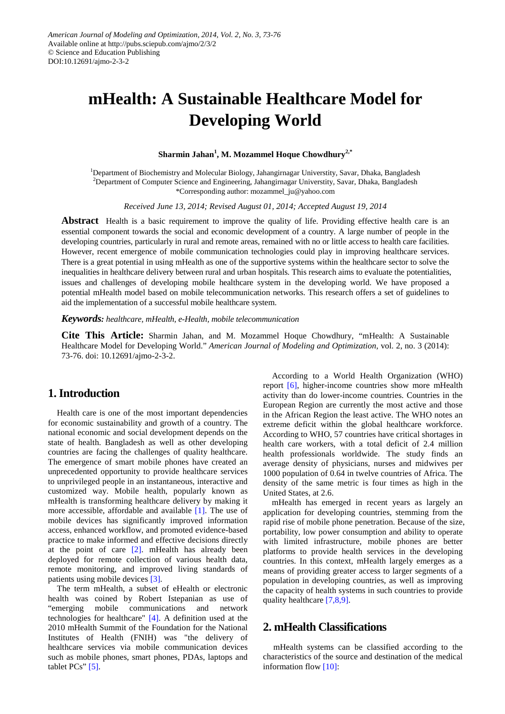# **mHealth: A Sustainable Healthcare Model for Developing World**

#### **Sharmin Jahan1 , M. Mozammel Hoque Chowdhury2,\***

<sup>1</sup>Department of Biochemistry and Molecular Biology, Jahangirnagar Universtity, Savar, Dhaka, Bangladesh 2 Department of Computer Science and Engineering, Jahangirnagar Universtity, Savar, Dhaka, Bangladesh \*Corresponding author: mozammel\_ju@yahoo.com

*Received June 13, 2014; Revised August 01, 2014; Accepted August 19, 2014*

**Abstract** Health is a basic requirement to improve the quality of life. Providing effective health care is an essential component towards the social and economic development of a country. A large number of people in the developing countries, particularly in rural and remote areas, remained with no or little access to health care facilities. However, recent emergence of mobile communication technologies could play in improving healthcare services. There is a great potential in using mHealth as one of the supportive systems within the healthcare sector to solve the inequalities in healthcare delivery between rural and urban hospitals. This research aims to evaluate the potentialities, issues and challenges of developing mobile healthcare system in the developing world. We have proposed a potential mHealth model based on mobile telecommunication networks. This research offers a set of guidelines to aid the implementation of a successful mobile healthcare system.

*Keywords: healthcare, mHealth, e-Health, mobile telecommunication*

**Cite This Article:** Sharmin Jahan, and M. Mozammel Hoque Chowdhury, "mHealth: A Sustainable Healthcare Model for Developing World." *American Journal of Modeling and Optimization*, vol. 2, no. 3 (2014): 73-76. doi: 10.12691/ajmo-2-3-2.

#### **1. Introduction**

Health care is one of the most important dependencies for economic sustainability and growth of a country. The national economic and social development depends on the state of health. Bangladesh as well as other developing countries are facing the challenges of quality healthcare. The emergence of smart mobile phones have created an unprecedented opportunity to provide healthcare services to unprivileged people in an instantaneous, interactive and customized way. Mobile health, popularly known as mHealth is transforming healthcare delivery by making it more accessible, affordable and available [\[1\].](#page-3-0) The use of mobile devices has significantly improved information access, enhanced workflow, and promoted evidence-based practice to make informed and effective decisions directly at the point of care [\[2\].](#page-3-1) mHealth has already been deployed for remote collection of various health data, remote monitoring, and improved living standards of patients using mobile devices [\[3\].](#page-3-2)

The term mHealth, a subset of eHealth or electronic health was coined by Robert Istepanian as use of "emerging mobile communications and network technologies for healthcare" [\[4\].](#page-3-3) A definition used at the 2010 mHealth Summit of the Foundation for the National Institutes of Health (FNIH) was "the delivery of healthcare services via mobile communication devices such as mobile phones, smart phones, PDAs, laptops and tablet PCs" [\[5\].](#page-3-4)

According to a World Health Organization (WHO) report [\[6\],](#page-3-5) higher-income countries show more mHealth activity than do lower-income countries. Countries in the European Region are currently the most active and those in the African Region the least active. The WHO notes an extreme deficit within the global healthcare workforce. According to WHO, 57 countries have critical shortages in health care workers, with a total deficit of 2.4 million health professionals worldwide. The study finds an average density of physicians, nurses and midwives per 1000 population of 0.64 in twelve countries of Africa. The density of the same metric is four times as high in the United States, at 2.6.

mHealth has emerged in recent years as largely an application for developing countries, stemming from the rapid rise of mobile phone penetration. Because of the size, portability, low power consumption and ability to operate with limited infrastructure, mobile phones are better platforms to provide health services in the developing countries. In this context, mHealth largely emerges as a means of providing greater access to larger segments of a population in developing countries, as well as improving the capacity of health systems in such countries to provide quality healthcare [\[7,8,9\].](#page-3-6)

### **2. mHealth Classifications**

mHealth systems can be classified according to the characteristics of the source and destination of the medical information flo[w \[10\]:](#page-3-7)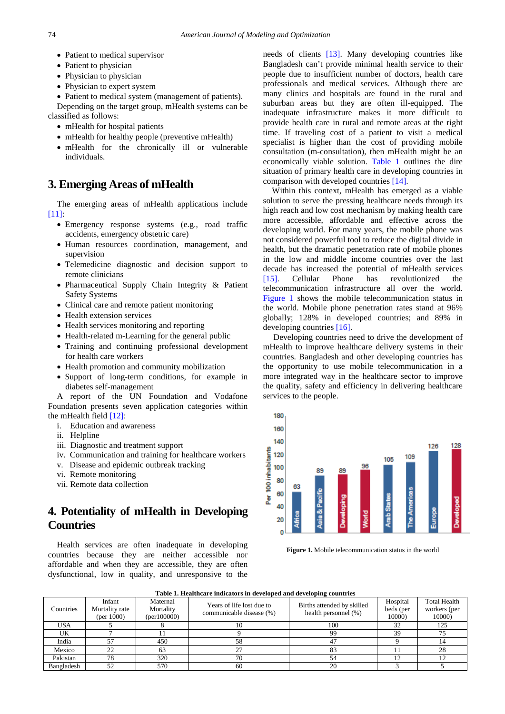- Patient to medical supervisor
- Patient to physician
- Physician to physician
- Physician to expert system
- Patient to medical system (management of patients).

Depending on the target group, mHealth systems can be classified as follows:

- mHealth for hospital patients
- mHealth for healthy people (preventive mHealth)
- mHealth for the chronically ill or vulnerable individuals.

## **3. Emerging Areas of mHealth**

The emerging areas of mHealth applications include [\[11\]:](#page-3-8)

- Emergency response systems (e.g., road traffic accidents, emergency obstetric care)
- Human resources coordination, management, and supervision
- Telemedicine diagnostic and decision support to remote clinicians
- Pharmaceutical Supply Chain Integrity & Patient Safety Systems
- Clinical care and remote patient monitoring
- Health extension services
- Health services monitoring and reporting
- Health-related m-Learning for the general public
- Training and continuing professional development for health care workers
- Health promotion and community mobilization
- Support of long-term conditions, for example in diabetes self-management

A report of the UN Foundation and Vodafone Foundation presents seven application categories within the mHealth field [\[12\]:](#page-3-9)

- i. Education and awareness
- ii. Helpline
- iii. Diagnostic and treatment support
- iv. Communication and training for healthcare workers
- v. Disease and epidemic outbreak tracking
- vi. Remote monitoring
- vii. Remote data collection

# **4. Potentiality of mHealth in Developing Countries**

Health services are often inadequate in developing countries because they are neither accessible nor affordable and when they are accessible, they are often dysfunctional, low in quality, and unresponsive to the

needs of clients [\[13\].](#page-3-10) Many developing countries like Bangladesh can't provide minimal health service to their people due to insufficient number of doctors, health care professionals and medical services. Although there are many clinics and hospitals are found in the rural and suburban areas but they are often ill-equipped. The inadequate infrastructure makes it more difficult to provide health care in rural and remote areas at the right time. If traveling cost of a patient to visit a medical specialist is higher than the cost of providing mobile consultation (m-consultation), then mHealth might be an economically viable solution. [Table 1](#page-1-0) outlines the dire situation of primary health care in developing countries in comparison with developed countries [\[14\].](#page-3-11)

Within this context, mHealth has emerged as a viable solution to serve the pressing healthcare needs through its high reach and low cost mechanism by making health care more accessible, affordable and effective across the developing world. For many years, the mobile phone was not considered powerful tool to reduce the digital divide in health, but the dramatic penetration rate of mobile phones in the low and middle income countries over the last decade has increased the potential of mHealth services [\[15\].](#page-3-12) Cellular Phone has revolutionized the telecommunication infrastructure all over the world. [Figure 1](#page-1-1) shows the mobile telecommunication status in the world. Mobile phone penetration rates stand at 96% globally; 128% in developed countries; and 89% in developing countries [\[16\].](#page-3-13)

Developing countries need to drive the development of mHealth to improve healthcare delivery systems in their countries. Bangladesh and other developing countries has the opportunity to use mobile telecommunication in a more integrated way in the healthcare sector to improve the quality, safety and efficiency in delivering healthcare services to the people.

<span id="page-1-1"></span>

**Figure 1.** Mobile telecommunication status in the world

<span id="page-1-0"></span>

| Table 1. Healthcare indicators in developed and developing countries |                                           |                                      |                                                       |                                                    |                                 |                                               |
|----------------------------------------------------------------------|-------------------------------------------|--------------------------------------|-------------------------------------------------------|----------------------------------------------------|---------------------------------|-----------------------------------------------|
| Countries                                                            | Infant<br>Mortality rate<br>(per $1000$ ) | Maternal<br>Mortality<br>(per100000) | Years of life lost due to<br>communicable disease (%) | Births attended by skilled<br>health personnel (%) | Hospital<br>beds (per<br>10000) | <b>Total Health</b><br>workers (per<br>10000) |
| <b>USA</b>                                                           |                                           |                                      |                                                       | 100                                                | 32                              | 125                                           |
| UK                                                                   |                                           |                                      |                                                       | 99                                                 | 39                              | 75                                            |
| India                                                                |                                           | 450                                  | 58                                                    |                                                    |                                 |                                               |
| Mexico                                                               | 22                                        | 63                                   | 27                                                    |                                                    |                                 | 28                                            |
| Pakistan                                                             | 78                                        | 320                                  | 70                                                    |                                                    |                                 |                                               |
| Bangladesh                                                           | 52                                        | 570                                  | 60                                                    | 20                                                 |                                 |                                               |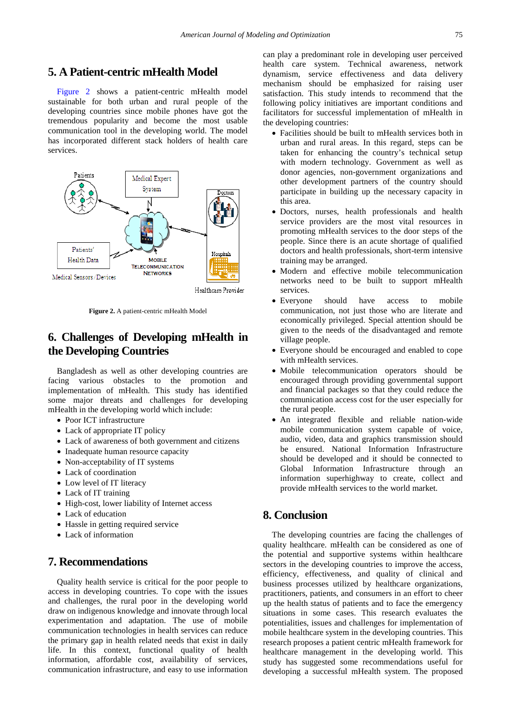# **5. A Patient-centric mHealth Model**

[Figure 2](#page-2-0) shows a patient-centric mHealth model sustainable for both urban and rural people of the developing countries since mobile phones have got the tremendous popularity and become the most usable communication tool in the developing world. The model has incorporated different stack holders of health care services.

<span id="page-2-0"></span>

**Figure 2.** A patient-centric mHealth Model

# **6. Challenges of Developing mHealth in the Developing Countries**

Bangladesh as well as other developing countries are facing various obstacles to the promotion and implementation of mHealth. This study has identified some major threats and challenges for developing mHealth in the developing world which include:

- Poor ICT infrastructure
- Lack of appropriate IT policy
- Lack of awareness of both government and citizens
- Inadequate human resource capacity
- Non-acceptability of IT systems
- Lack of coordination
- Low level of IT literacy
- Lack of IT training
- High-cost, lower liability of Internet access
- Lack of education
- Hassle in getting required service
- Lack of information

# **7. Recommendations**

Quality health service is critical for the poor people to access in developing countries. To cope with the issues and challenges, the rural poor in the developing world draw on indigenous knowledge and innovate through local experimentation and adaptation. The use of mobile communication technologies in health services can reduce the primary gap in health related needs that exist in daily life. In this context, functional quality of health information, affordable cost, availability of services, communication infrastructure, and easy to use information can play a predominant role in developing user perceived health care system. Technical awareness, network dynamism, service effectiveness and data delivery mechanism should be emphasized for raising user satisfaction. This study intends to recommend that the following policy initiatives are important conditions and facilitators for successful implementation of mHealth in the developing countries:

- Facilities should be built to mHealth services both in urban and rural areas. In this regard, steps can be taken for enhancing the country's technical setup with modern technology. Government as well as donor agencies, non-government organizations and other development partners of the country should participate in building up the necessary capacity in this area.
- Doctors, nurses, health professionals and health service providers are the most vital resources in promoting mHealth services to the door steps of the people. Since there is an acute shortage of qualified doctors and health professionals, short-term intensive training may be arranged.
- Modern and effective mobile telecommunication networks need to be built to support mHealth services.
- Everyone should have access to mobile communication, not just those who are literate and economically privileged. Special attention should be given to the needs of the disadvantaged and remote village people.
- Everyone should be encouraged and enabled to cope with mHealth services.
- Mobile telecommunication operators should be encouraged through providing governmental support and financial packages so that they could reduce the communication access cost for the user especially for the rural people.
- An integrated flexible and reliable nation-wide mobile communication system capable of voice, audio, video, data and graphics transmission should be ensured. National Information Infrastructure should be developed and it should be connected to Global Information Infrastructure through an information superhighway to create, collect and provide mHealth services to the world market.

## **8. Conclusion**

The developing countries are facing the challenges of quality healthcare. mHealth can be considered as one of the potential and supportive systems within healthcare sectors in the developing countries to improve the access, efficiency, effectiveness, and quality of clinical and business processes utilized by healthcare organizations, practitioners, patients, and consumers in an effort to cheer up the health status of patients and to face the emergency situations in some cases. This research evaluates the potentialities, issues and challenges for implementation of mobile healthcare system in the developing countries. This research proposes a patient centric mHealth framework for healthcare management in the developing world. This study has suggested some recommendations useful for developing a successful mHealth system. The proposed